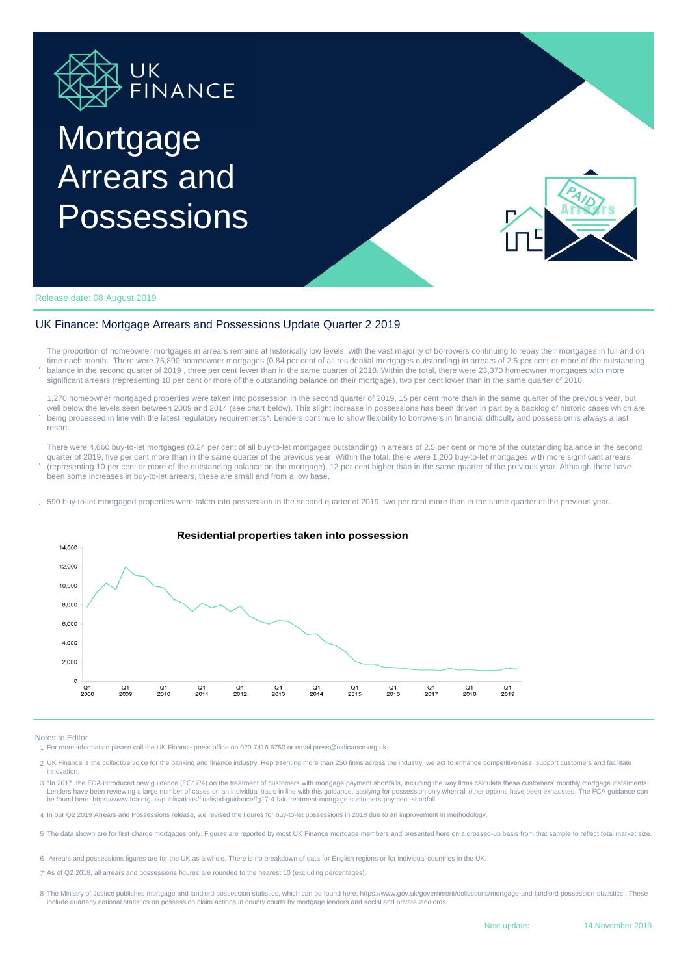

# **Mortgage** Arrears and Possessions



Release date: 08 August 2019

#### UK Finance: Mortgage Arrears and Possessions Update Quarter 2 2019

**.** The proportion of homeowner mortgages in arrears remains at historically low levels, with the vast majority of borrowers continuing to repay their mortgages in full and on time each month. There were 75,890 homeowner mortgages (0.84 per cent of all residential mortgages outstanding) in arrears of 2.5 per cent or more of the outstanding balance in the second quarter of 2019 , three per cent fewer than in the same quarter of 2018. Within the total, there were 23,370 homeowner mortgages with more significant arrears (representing 10 per cent or more of the outstanding balance on their mortgage), two per cent lower than in the same quarter of 2018.

**.** 1,270 homeowner mortgaged properties were taken into possession in the second quarter of 2019, 15 per cent more than in the same quarter of the previous year, but well below the levels seen between 2009 and 2014 (see chart below). This slight increase in possessions has been driven in part by a backlog of historic cases which are being processed in line with the latest regulatory requirements\*. Lenders continue to show flexibility to borrowers in financial difficulty and possession is always a last resort.

**.** There were 4,660 buy-to-let mortgages (0.24 per cent of all buy-to-let mortgages outstanding) in arrears of 2.5 per cent or more of the outstanding balance in the second quarter of 2019, five per cent more than in the same quarter of the previous year. Within the total, there were 1,200 buy-to-let mortgages with more significant arrears (representing 10 per cent or more of the outstanding balance on the mortgage), 12 per cent higher than in the same quarter of the previous year. Although there have been some increases in buy-to-let arrears, these are small and from a low base.

**.** 590 buy-to-let mortgaged properties were taken into possession in the second quarter of 2019, two per cent more than in the same quarter of the previous year.



#### Notes to Editor

1 For more information please call the UK Finance press office on 020 7416 6750 or email press@ukfinance.org.uk.

- 2 UK Finance is the collective voice for the banking and finance industry. Representing more than 250 firms across the industry, we act to enhance competitiveness, support customers and facilitate innovation.
- 3 \*In 2017, the FCA introduced new guidance (FG17/4) on the treatment of customers with mortgage payment shortfalls, including the way firms calculate these customers' monthly mortgage instalments. Lenders have been reviewing a large number of cases on an individual basis in line with this guidance, applying for possession only when all other options have been exhausted. The FCA guidance can be found here: https://www.fca.org.uk/publications/finalised-guidance/fg17-4-fair-treatment-mortgage-customers-payment-shortfall
- 4 In our Q2 2019 Arrears and Possessions release, we revised the figures for buy-to-let possessions in 2018 due to an improvement in methodology.
- 5 The data shown are for first charge mortgages only. Figures are reported by most UK Finance mortgage members and presented here on a grossed-up basis from that sample to reflect total market size.
- 6 Arrears and possessions figures are for the UK as a whole. There is no breakdown of data for English regions or for individual countries in the UK.
- 7 As of Q2 2018, all arrears and possessions figures are rounded to the nearest 10 (excluding percentages).
- 8 The Ministry of Justice publishes mortgage and landlord possession statistics, which can be found here: https://www.gov.uk/government/collections/mortgage-and-landlord-possession-statistics . These include quarterly national statistics on possession claim actions in county courts by mortgage lenders and social and private landlords.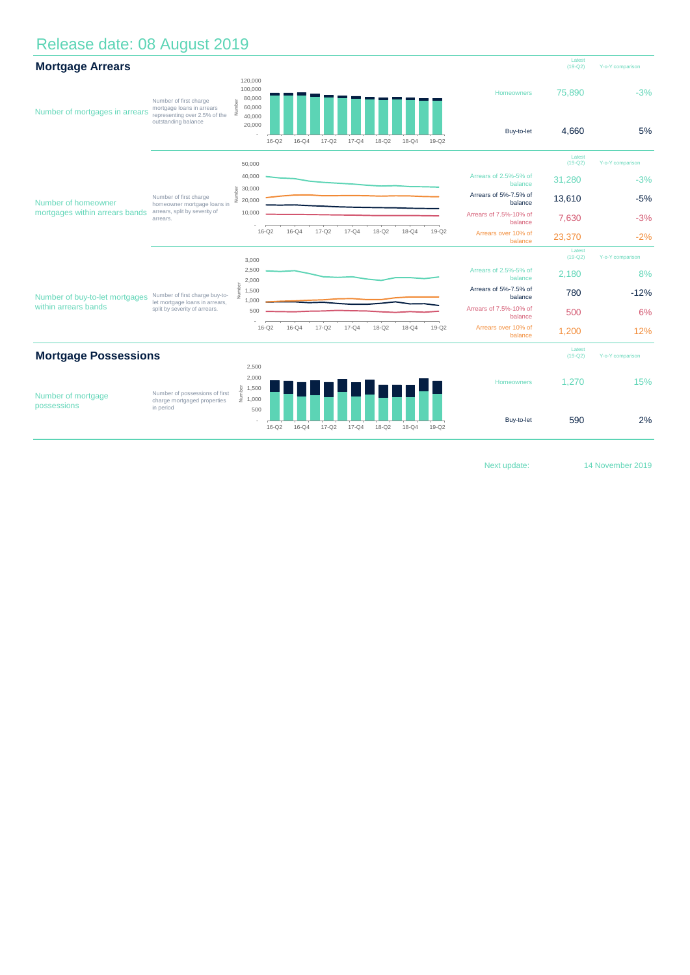## Release date: 08 August 2019

| <b>Mortgage Arrears</b>                                |                                                                                                             |                                                                             |           |           |           |           |                     |                  |         |                                   | Latest<br>$(19-Q2)$ | Y-o-Y comparison |
|--------------------------------------------------------|-------------------------------------------------------------------------------------------------------------|-----------------------------------------------------------------------------|-----------|-----------|-----------|-----------|---------------------|------------------|---------|-----------------------------------|---------------------|------------------|
| Number of mortgages in arrears                         | Number of first charge<br>mortgage loans in arrears<br>representing over 2.5% of the<br>outstanding balance | 120,000<br>100,000<br>80,000<br>Number<br>60,000<br>40,000<br>20,000        | $16 - Q2$ | $16 - Q4$ | $17 - Q2$ | $17 - Q4$ | $18 - Q2$           | $18 - Q4$        | 19-Q2   | Homeowners<br>Buy-to-let          | 75,890<br>4.660     | $-3%$<br>5%      |
|                                                        |                                                                                                             | 50,000                                                                      |           |           |           |           |                     |                  |         |                                   | Latest<br>$(19-Q2)$ | Y-o-Y comparison |
| Number of homeowner<br>mortgages within arrears bands  | Number of first charge<br>homeowner mortgage loans in<br>arrears, split by severity of<br>arrears.          | 40,000                                                                      |           |           |           |           |                     |                  |         | Arrears of 2.5%-5% of<br>balance  | 31,280              | $-3%$            |
|                                                        |                                                                                                             | 30,000<br>mber<br>$\bar{2}$ 20,000                                          |           |           |           |           |                     |                  |         | Arrears of 5%-7.5% of<br>balance  | 13,610              | $-5%$            |
|                                                        |                                                                                                             | 10,000                                                                      |           |           |           |           |                     |                  |         | Arrears of 7.5%-10% of<br>balance | 7,630               | $-3%$            |
|                                                        |                                                                                                             |                                                                             | $16 - Q2$ | $16-Q4$   | $17 - Q2$ | $17-Q4$   | 18-Q2               | $18-Q4$          | $19-Q2$ | Arrears over 10% of<br>balance    | 23,370              | $-2%$            |
|                                                        |                                                                                                             | 3,000                                                                       |           |           |           |           |                     |                  |         |                                   | Latest<br>$(19-Q2)$ | Y-o-Y comparison |
| Number of buy-to-let mortgages<br>within arrears bands | Number of first charge buy-to-<br>let mortgage loans in arrears,<br>split by severity of arrears.           | 2,500<br>2,000                                                              |           |           |           |           |                     |                  |         | Arrears of 2.5%-5% of<br>balance  | 2,180               | 8%               |
|                                                        |                                                                                                             | Vumber<br>1,500                                                             |           |           |           |           |                     |                  |         | Arrears of 5%-7.5% of<br>balance  | 780                 | $-12%$           |
|                                                        |                                                                                                             | 1,000<br>500                                                                |           |           |           |           |                     |                  |         | Arrears of 7.5%-10% of<br>balance | 500                 | 6%               |
|                                                        |                                                                                                             |                                                                             | $16 - Q2$ | $16 - Q4$ | $17 - Q2$ | $17 - Q4$ | $18 - Q2$           | $18-Q4$          | $19-Q2$ | Arrears over 10% of<br>balance    | 1,200               | 12%              |
| <b>Mortgage Possessions</b>                            |                                                                                                             |                                                                             |           |           |           |           | Latest<br>$(19-Q2)$ | Y-o-Y comparison |         |                                   |                     |                  |
| Number of mortgage<br>possessions                      | Number of possessions of first<br>charge mortgaged properties<br>in period                                  | 2,500                                                                       |           |           |           |           |                     |                  |         |                                   |                     |                  |
|                                                        |                                                                                                             | 2,000<br>$\begin{array}{c} \frac{1}{2} \\ \frac{2}{2} \\ 1,000 \end{array}$ |           |           |           |           |                     |                  |         | Homeowners                        | 1,270               | 15%              |
|                                                        |                                                                                                             | 500                                                                         | $16-Q2$   | $16-Q4$   | $17 - Q2$ | $17 - Q4$ | 18-Q2               | $18 - Q4$        | 19-Q2   | Buy-to-let                        | 590                 | 2%               |

Next update:

14 November 2019